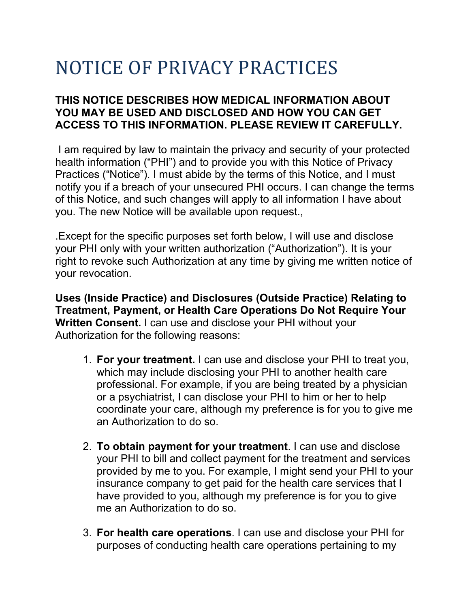# NOTICE OF PRIVACY PRACTICES

## **THIS NOTICE DESCRIBES HOW MEDICAL INFORMATION ABOUT YOU MAY BE USED AND DISCLOSED AND HOW YOU CAN GET ACCESS TO THIS INFORMATION. PLEASE REVIEW IT CAREFULLY.**

I am required by law to maintain the privacy and security of your protected health information ("PHI") and to provide you with this Notice of Privacy Practices ("Notice"). I must abide by the terms of this Notice, and I must notify you if a breach of your unsecured PHI occurs. I can change the terms of this Notice, and such changes will apply to all information I have about you. The new Notice will be available upon request.,

.Except for the specific purposes set forth below, I will use and disclose your PHI only with your written authorization ("Authorization"). It is your right to revoke such Authorization at any time by giving me written notice of your revocation.

**Uses (Inside Practice) and Disclosures (Outside Practice) Relating to Treatment, Payment, or Health Care Operations Do Not Require Your Written Consent.** I can use and disclose your PHI without your Authorization for the following reasons:

- 1. **For your treatment.** I can use and disclose your PHI to treat you, which may include disclosing your PHI to another health care professional. For example, if you are being treated by a physician or a psychiatrist, I can disclose your PHI to him or her to help coordinate your care, although my preference is for you to give me an Authorization to do so.
- 2. **To obtain payment for your treatment**. I can use and disclose your PHI to bill and collect payment for the treatment and services provided by me to you. For example, I might send your PHI to your insurance company to get paid for the health care services that I have provided to you, although my preference is for you to give me an Authorization to do so.
- 3. **For health care operations**. I can use and disclose your PHI for purposes of conducting health care operations pertaining to my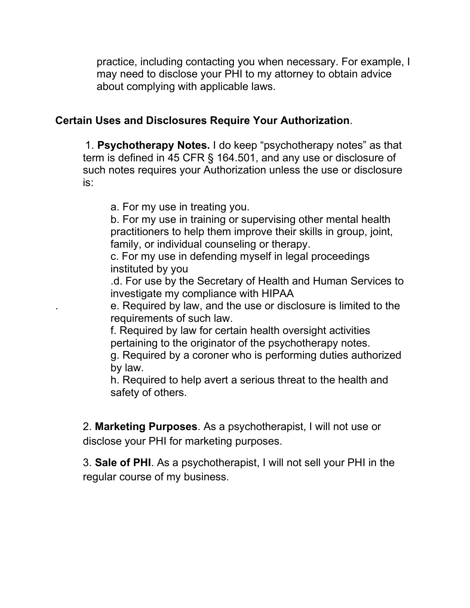practice, including contacting you when necessary. For example, I may need to disclose your PHI to my attorney to obtain advice about complying with applicable laws.

### **Certain Uses and Disclosures Require Your Authorization**.

1. **Psychotherapy Notes.** I do keep "psychotherapy notes" as that term is defined in 45 CFR § 164.501, and any use or disclosure of such notes requires your Authorization unless the use or disclosure is:

a. For my use in treating you.

b. For my use in training or supervising other mental health practitioners to help them improve their skills in group, joint, family, or individual counseling or therapy.

c. For my use in defending myself in legal proceedings instituted by you

.d. For use by the Secretary of Health and Human Services to investigate my compliance with HIPAA

. e. Required by law, and the use or disclosure is limited to the requirements of such law.

f. Required by law for certain health oversight activities pertaining to the originator of the psychotherapy notes.

g. Required by a coroner who is performing duties authorized by law.

h. Required to help avert a serious threat to the health and safety of others.

2. **Marketing Purposes**. As a psychotherapist, I will not use or disclose your PHI for marketing purposes.

3. **Sale of PHI**. As a psychotherapist, I will not sell your PHI in the regular course of my business.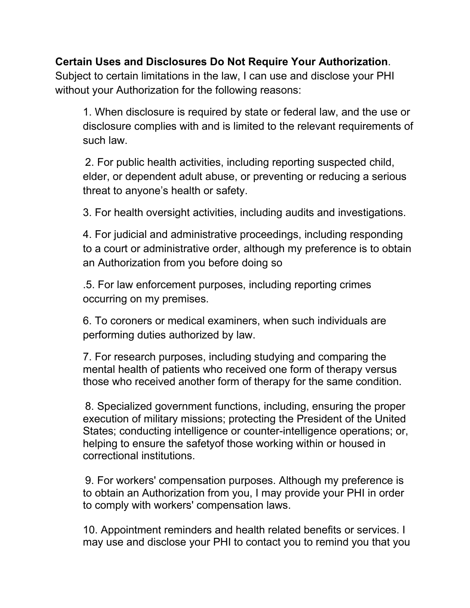## **Certain Uses and Disclosures Do Not Require Your Authorization**.

Subject to certain limitations in the law, I can use and disclose your PHI without your Authorization for the following reasons:

1. When disclosure is required by state or federal law, and the use or disclosure complies with and is limited to the relevant requirements of such law.

2. For public health activities, including reporting suspected child, elder, or dependent adult abuse, or preventing or reducing a serious threat to anyone's health or safety.

3. For health oversight activities, including audits and investigations.

4. For judicial and administrative proceedings, including responding to a court or administrative order, although my preference is to obtain an Authorization from you before doing so

.5. For law enforcement purposes, including reporting crimes occurring on my premises.

6. To coroners or medical examiners, when such individuals are performing duties authorized by law.

7. For research purposes, including studying and comparing the mental health of patients who received one form of therapy versus those who received another form of therapy for the same condition.

8. Specialized government functions, including, ensuring the proper execution of military missions; protecting the President of the United States; conducting intelligence or counter-intelligence operations; or, helping to ensure the safetyof those working within or housed in correctional institutions.

9. For workers' compensation purposes. Although my preference is to obtain an Authorization from you, I may provide your PHI in order to comply with workers' compensation laws.

10. Appointment reminders and health related benefits or services. I may use and disclose your PHI to contact you to remind you that you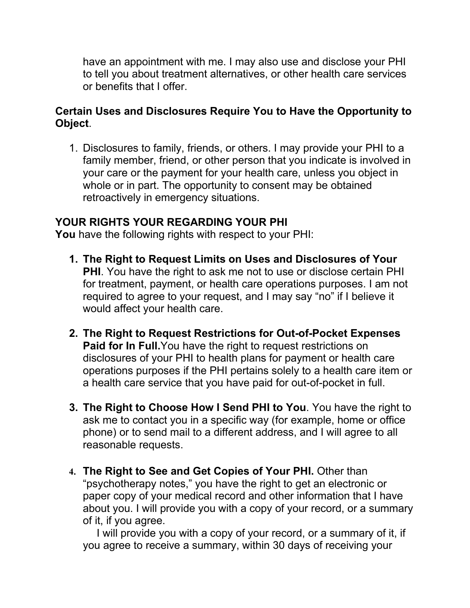have an appointment with me. I may also use and disclose your PHI to tell you about treatment alternatives, or other health care services or benefits that I offer.

## **Certain Uses and Disclosures Require You to Have the Opportunity to Object**.

1. Disclosures to family, friends, or others. I may provide your PHI to a family member, friend, or other person that you indicate is involved in your care or the payment for your health care, unless you object in whole or in part. The opportunity to consent may be obtained retroactively in emergency situations.

## **YOUR RIGHTS YOUR REGARDING YOUR PHI**

**You** have the following rights with respect to your PHI:

- **1. The Right to Request Limits on Uses and Disclosures of Your PHI**. You have the right to ask me not to use or disclose certain PHI for treatment, payment, or health care operations purposes. I am not required to agree to your request, and I may say "no" if I believe it would affect your health care.
- **2. The Right to Request Restrictions for Out-of-Pocket Expenses Paid for In Full.** You have the right to request restrictions on disclosures of your PHI to health plans for payment or health care operations purposes if the PHI pertains solely to a health care item or a health care service that you have paid for out-of-pocket in full.
- **3. The Right to Choose How I Send PHI to You**. You have the right to ask me to contact you in a specific way (for example, home or office phone) or to send mail to a different address, and I will agree to all reasonable requests.
- **4. The Right to See and Get Copies of Your PHI.** Other than "psychotherapy notes," you have the right to get an electronic or paper copy of your medical record and other information that I have about you. I will provide you with a copy of your record, or a summary of it, if you agree.

I will provide you with a copy of your record, or a summary of it, if you agree to receive a summary, within 30 days of receiving your